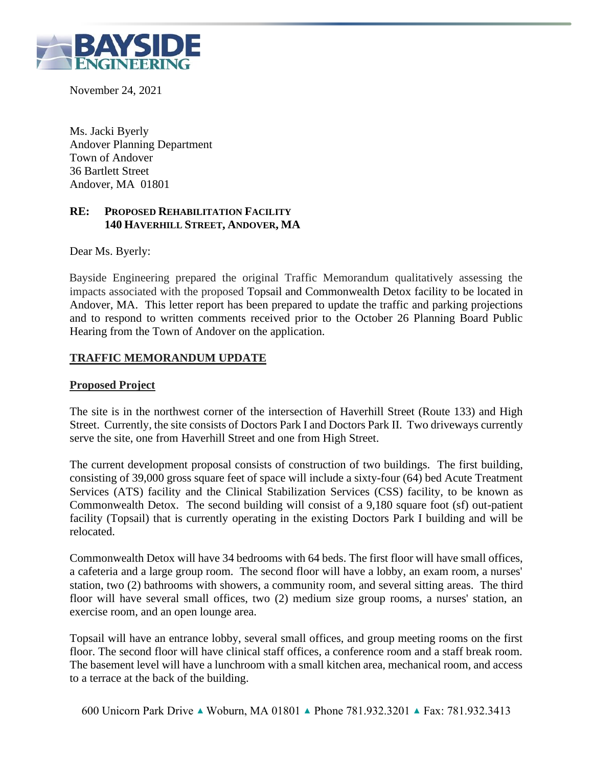

November 24, 2021

Ms. Jacki Byerly Andover Planning Department Town of Andover 36 Bartlett Street Andover, MA 01801

# **RE: PROPOSED REHABILITATION FACILITY 140 HAVERHILL STREET, ANDOVER, MA**

Dear Ms. Byerly:

Bayside Engineering prepared the original Traffic Memorandum qualitatively assessing the impacts associated with the proposed Topsail and Commonwealth Detox facility to be located in Andover, MA. This letter report has been prepared to update the traffic and parking projections and to respond to written comments received prior to the October 26 Planning Board Public Hearing from the Town of Andover on the application.

# **TRAFFIC MEMORANDUM UPDATE**

#### **Proposed Project**

The site is in the northwest corner of the intersection of Haverhill Street (Route 133) and High Street. Currently, the site consists of Doctors Park I and Doctors Park II. Two driveways currently serve the site, one from Haverhill Street and one from High Street.

The current development proposal consists of construction of two buildings. The first building, consisting of 39,000 gross square feet of space will include a sixty-four (64) bed Acute Treatment Services (ATS) facility and the Clinical Stabilization Services (CSS) facility, to be known as Commonwealth Detox. The second building will consist of a 9,180 square foot (sf) out-patient facility (Topsail) that is currently operating in the existing Doctors Park I building and will be relocated.

Commonwealth Detox will have 34 bedrooms with 64 beds. The first floor will have small offices, a cafeteria and a large group room. The second floor will have a lobby, an exam room, a nurses' station, two (2) bathrooms with showers, a community room, and several sitting areas. The third floor will have several small offices, two (2) medium size group rooms, a nurses' station, an exercise room, and an open lounge area.

Topsail will have an entrance lobby, several small offices, and group meeting rooms on the first floor. The second floor will have clinical staff offices, a conference room and a staff break room. The basement level will have a lunchroom with a small kitchen area, mechanical room, and access to a terrace at the back of the building.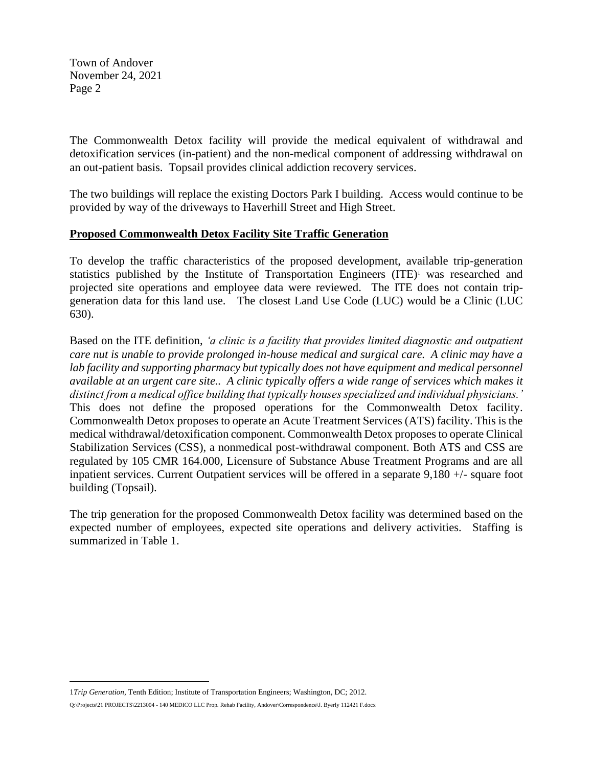The Commonwealth Detox facility will provide the medical equivalent of withdrawal and detoxification services (in-patient) and the non-medical component of addressing withdrawal on an out-patient basis. Topsail provides clinical addiction recovery services.

The two buildings will replace the existing Doctors Park I building. Access would continue to be provided by way of the driveways to Haverhill Street and High Street.

# **Proposed Commonwealth Detox Facility Site Traffic Generation**

To develop the traffic characteristics of the proposed development, available trip-generation statistics published by the Institute of Transportation Engineers (ITE)<sup>1</sup> was researched and projected site operations and employee data were reviewed. The ITE does not contain tripgeneration data for this land use. The closest Land Use Code (LUC) would be a Clinic (LUC 630).

Based on the ITE definition, *'a clinic is a facility that provides limited diagnostic and outpatient care nut is unable to provide prolonged in-house medical and surgical care. A clinic may have a*  lab facility and supporting pharmacy but typically does not have equipment and medical personnel *available at an urgent care site.. A clinic typically offers a wide range of services which makes it distinct from a medical office building that typically houses specialized and individual physicians.'* This does not define the proposed operations for the Commonwealth Detox facility. Commonwealth Detox proposes to operate an Acute Treatment Services (ATS) facility. This is the medical withdrawal/detoxification component. Commonwealth Detox proposes to operate Clinical Stabilization Services (CSS), a nonmedical post-withdrawal component. Both ATS and CSS are regulated by 105 CMR 164.000, Licensure of Substance Abuse Treatment Programs and are all inpatient services. Current Outpatient services will be offered in a separate 9,180 +/- square foot building (Topsail).

The trip generation for the proposed Commonwealth Detox facility was determined based on the expected number of employees, expected site operations and delivery activities. Staffing is summarized in Table 1.

<sup>1</sup>*Trip Generation,* Tenth Edition; Institute of Transportation Engineers; Washington, DC; 2012.

Q:\Projects\21 PROJECTS\2213004 - 140 MEDICO LLC Prop. Rehab Facility, Andover\Correspondence\J. Byerly 112421 F.docx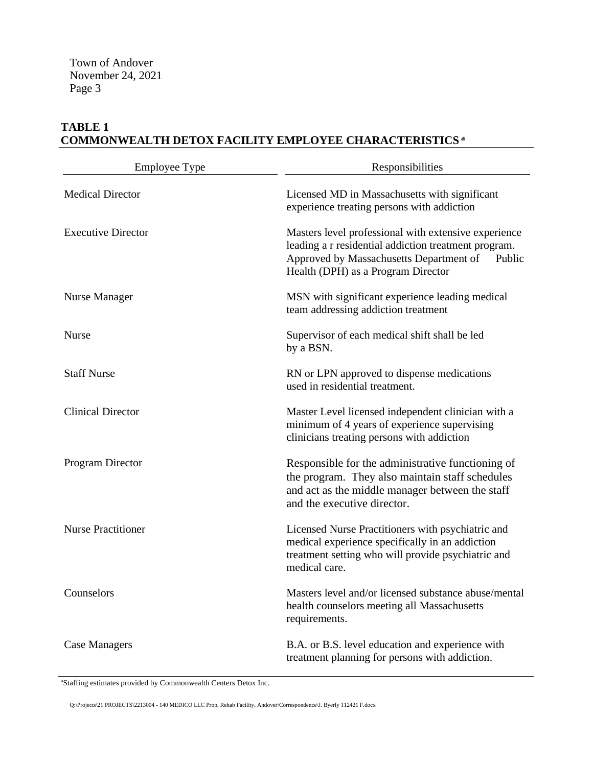# **TABLE 1 COMMONWEALTH DETOX FACILITY EMPLOYEE CHARACTERISTICS <sup>a</sup>**

| <b>Employee Type</b>      | Responsibilities                                                                                                                                                                                        |
|---------------------------|---------------------------------------------------------------------------------------------------------------------------------------------------------------------------------------------------------|
| <b>Medical Director</b>   | Licensed MD in Massachusetts with significant<br>experience treating persons with addiction                                                                                                             |
| <b>Executive Director</b> | Masters level professional with extensive experience<br>leading a r residential addiction treatment program.<br>Approved by Massachusetts Department of<br>Public<br>Health (DPH) as a Program Director |
| Nurse Manager             | MSN with significant experience leading medical<br>team addressing addiction treatment                                                                                                                  |
| <b>Nurse</b>              | Supervisor of each medical shift shall be led<br>by a BSN.                                                                                                                                              |
| <b>Staff Nurse</b>        | RN or LPN approved to dispense medications<br>used in residential treatment.                                                                                                                            |
| <b>Clinical Director</b>  | Master Level licensed independent clinician with a<br>minimum of 4 years of experience supervising<br>clinicians treating persons with addiction                                                        |
| Program Director          | Responsible for the administrative functioning of<br>the program. They also maintain staff schedules<br>and act as the middle manager between the staff<br>and the executive director.                  |
| <b>Nurse Practitioner</b> | Licensed Nurse Practitioners with psychiatric and<br>medical experience specifically in an addiction<br>treatment setting who will provide psychiatric and<br>medical care.                             |
| Counselors                | Masters level and/or licensed substance abuse/mental<br>health counselors meeting all Massachusetts<br>requirements.                                                                                    |
| <b>Case Managers</b>      | B.A. or B.S. level education and experience with<br>treatment planning for persons with addiction.                                                                                                      |

<sup>a</sup>Staffing estimates provided by Commonwealth Centers Detox Inc.

Q:\Projects\21 PROJECTS\2213004 - 140 MEDICO LLC Prop. Rehab Facility, Andover\Correspondence\J. Byerly 112421 F.docx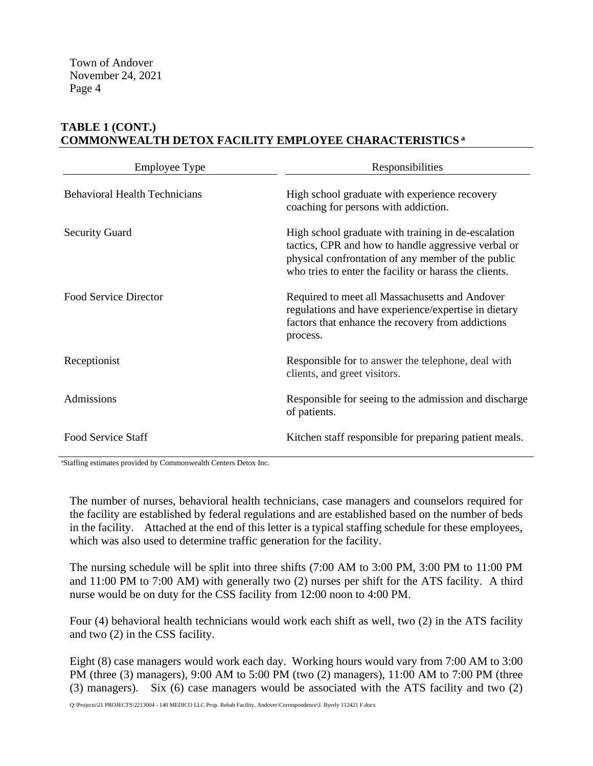# **TABLE 1 (CONT.) COMMONWEALTH DETOX FACILITY EMPLOYEE CHARACTERISTICS <sup>a</sup>**

| <b>Employee Type</b>                 | Responsibilities                                                                                                                                                                                                           |
|--------------------------------------|----------------------------------------------------------------------------------------------------------------------------------------------------------------------------------------------------------------------------|
| <b>Behavioral Health Technicians</b> | High school graduate with experience recovery<br>coaching for persons with addiction.                                                                                                                                      |
| <b>Security Guard</b>                | High school graduate with training in de-escalation<br>tactics, CPR and how to handle aggressive verbal or<br>physical confrontation of any member of the public<br>who tries to enter the facility or harass the clients. |
| Food Service Director                | Required to meet all Massachusetts and Andover<br>regulations and have experience/expertise in dietary<br>factors that enhance the recovery from addictions<br>process.                                                    |
| Receptionist                         | Responsible for to answer the telephone, deal with<br>clients, and greet visitors.                                                                                                                                         |
| Admissions                           | Responsible for seeing to the admission and discharge<br>of patients.                                                                                                                                                      |
| <b>Food Service Staff</b>            | Kitchen staff responsible for preparing patient meals.                                                                                                                                                                     |

<sup>a</sup>Staffing estimates provided by Commonwealth Centers Detox Inc.

The number of nurses, behavioral health technicians, case managers and counselors required for the facility are established by federal regulations and are established based on the number of beds in the facility. Attached at the end of this letter is a typical staffing schedule for these employees, which was also used to determine traffic generation for the facility.

The nursing schedule will be split into three shifts (7:00 AM to 3:00 PM, 3:00 PM to 11:00 PM and 11:00 PM to 7:00 AM) with generally two (2) nurses per shift for the ATS facility. A third nurse would be on duty for the CSS facility from 12:00 noon to 4:00 PM.

Four (4) behavioral health technicians would work each shift as well, two (2) in the ATS facility and two (2) in the CSS facility.

Eight (8) case managers would work each day. Working hours would vary from 7:00 AM to 3:00 PM (three (3) managers), 9:00 AM to 5:00 PM (two (2) managers), 11:00 AM to 7:00 PM (three (3) managers). Six (6) case managers would be associated with the ATS facility and two (2)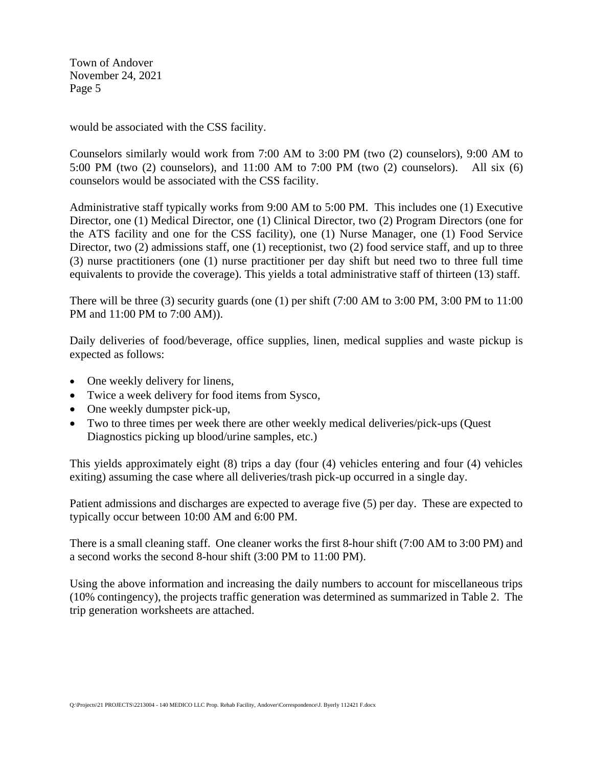would be associated with the CSS facility.

Counselors similarly would work from 7:00 AM to 3:00 PM (two (2) counselors), 9:00 AM to 5:00 PM (two (2) counselors), and 11:00 AM to 7:00 PM (two (2) counselors). All six (6) counselors would be associated with the CSS facility.

Administrative staff typically works from 9:00 AM to 5:00 PM. This includes one (1) Executive Director, one (1) Medical Director, one (1) Clinical Director, two (2) Program Directors (one for the ATS facility and one for the CSS facility), one (1) Nurse Manager, one (1) Food Service Director, two (2) admissions staff, one (1) receptionist, two (2) food service staff, and up to three (3) nurse practitioners (one (1) nurse practitioner per day shift but need two to three full time equivalents to provide the coverage). This yields a total administrative staff of thirteen (13) staff.

There will be three (3) security guards (one (1) per shift  $(7:00 \text{ AM to } 3:00 \text{ PM}, 3:00 \text{ PM to } 11:00$ PM and 11:00 PM to 7:00 AM)).

Daily deliveries of food/beverage, office supplies, linen, medical supplies and waste pickup is expected as follows:

- One weekly delivery for linens,
- Twice a week delivery for food items from Sysco,
- One weekly dumpster pick-up,
- Two to three times per week there are other weekly medical deliveries/pick-ups (Quest Diagnostics picking up blood/urine samples, etc.)

This yields approximately eight (8) trips a day (four (4) vehicles entering and four (4) vehicles exiting) assuming the case where all deliveries/trash pick-up occurred in a single day.

Patient admissions and discharges are expected to average five (5) per day. These are expected to typically occur between 10:00 AM and 6:00 PM.

There is a small cleaning staff. One cleaner works the first 8-hour shift (7:00 AM to 3:00 PM) and a second works the second 8-hour shift (3:00 PM to 11:00 PM).

Using the above information and increasing the daily numbers to account for miscellaneous trips (10% contingency), the projects traffic generation was determined as summarized in Table 2. The trip generation worksheets are attached.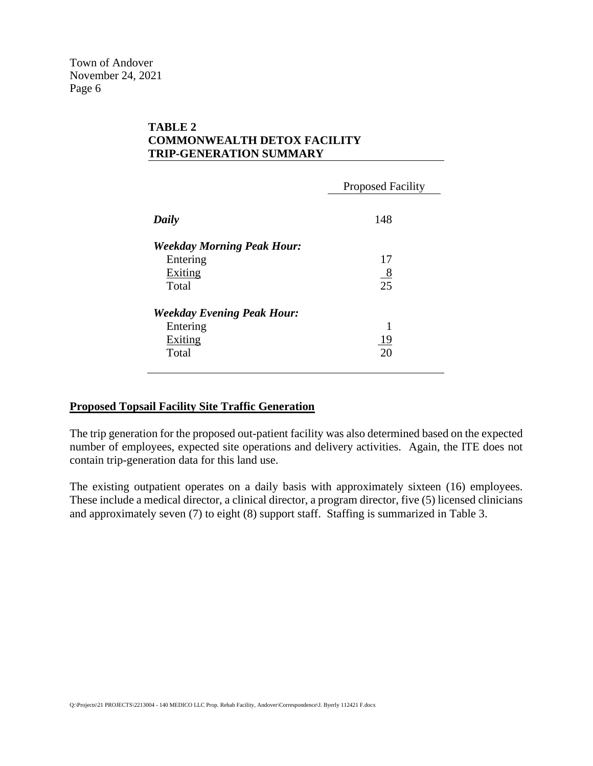# **TABLE 2 COMMONWEALTH DETOX FACILITY TRIP-GENERATION SUMMARY**

|                                   | <b>Proposed Facility</b> |
|-----------------------------------|--------------------------|
| Daily                             | 148                      |
| <b>Weekday Morning Peak Hour:</b> |                          |
| Entering                          | 17                       |
| Exiting                           | $\frac{8}{25}$           |
| Total                             |                          |
| <b>Weekday Evening Peak Hour:</b> |                          |
| Entering                          | 1                        |
| Exiting                           | <u> 19</u>               |
| Total                             | 20                       |
|                                   |                          |

#### **Proposed Topsail Facility Site Traffic Generation**

The trip generation for the proposed out-patient facility was also determined based on the expected number of employees, expected site operations and delivery activities. Again, the ITE does not contain trip-generation data for this land use.

The existing outpatient operates on a daily basis with approximately sixteen (16) employees. These include a medical director, a clinical director, a program director, five (5) licensed clinicians and approximately seven (7) to eight (8) support staff. Staffing is summarized in Table 3.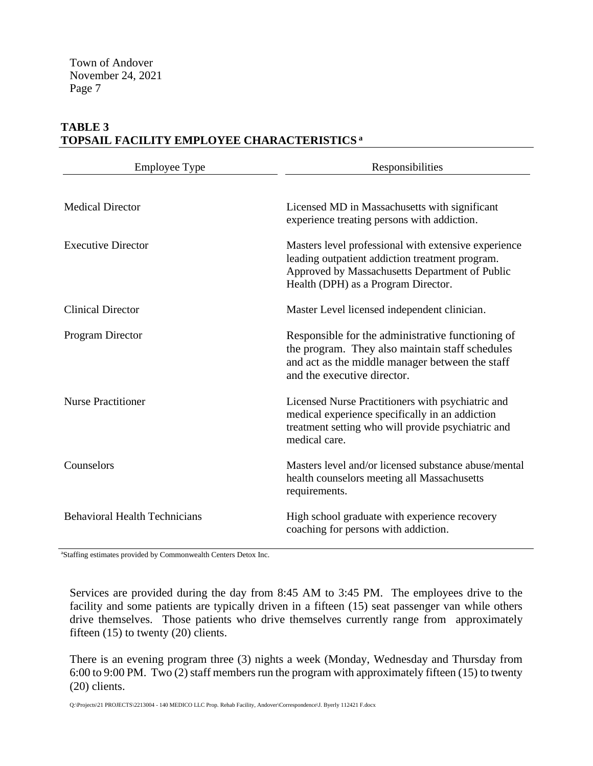# **TABLE 3 TOPSAIL FACILITY EMPLOYEE CHARACTERISTICS <sup>a</sup>**

| <b>Employee Type</b>                 | Responsibilities                                                                                                                                                                                 |
|--------------------------------------|--------------------------------------------------------------------------------------------------------------------------------------------------------------------------------------------------|
| <b>Medical Director</b>              | Licensed MD in Massachusetts with significant<br>experience treating persons with addiction.                                                                                                     |
| <b>Executive Director</b>            | Masters level professional with extensive experience<br>leading outpatient addiction treatment program.<br>Approved by Massachusetts Department of Public<br>Health (DPH) as a Program Director. |
| <b>Clinical Director</b>             | Master Level licensed independent clinician.                                                                                                                                                     |
| Program Director                     | Responsible for the administrative functioning of<br>the program. They also maintain staff schedules<br>and act as the middle manager between the staff<br>and the executive director.           |
| <b>Nurse Practitioner</b>            | Licensed Nurse Practitioners with psychiatric and<br>medical experience specifically in an addiction<br>treatment setting who will provide psychiatric and<br>medical care.                      |
| Counselors                           | Masters level and/or licensed substance abuse/mental<br>health counselors meeting all Massachusetts<br>requirements.                                                                             |
| <b>Behavioral Health Technicians</b> | High school graduate with experience recovery<br>coaching for persons with addiction.                                                                                                            |

<sup>a</sup>Staffing estimates provided by Commonwealth Centers Detox Inc.

Services are provided during the day from 8:45 AM to 3:45 PM. The employees drive to the facility and some patients are typically driven in a fifteen (15) seat passenger van while others drive themselves. Those patients who drive themselves currently range from approximately fifteen (15) to twenty (20) clients.

There is an evening program three (3) nights a week (Monday, Wednesday and Thursday from 6:00 to 9:00 PM. Two (2) staff members run the program with approximately fifteen (15) to twenty (20) clients.

Q:\Projects\21 PROJECTS\2213004 - 140 MEDICO LLC Prop. Rehab Facility, Andover\Correspondence\J. Byerly 112421 F.docx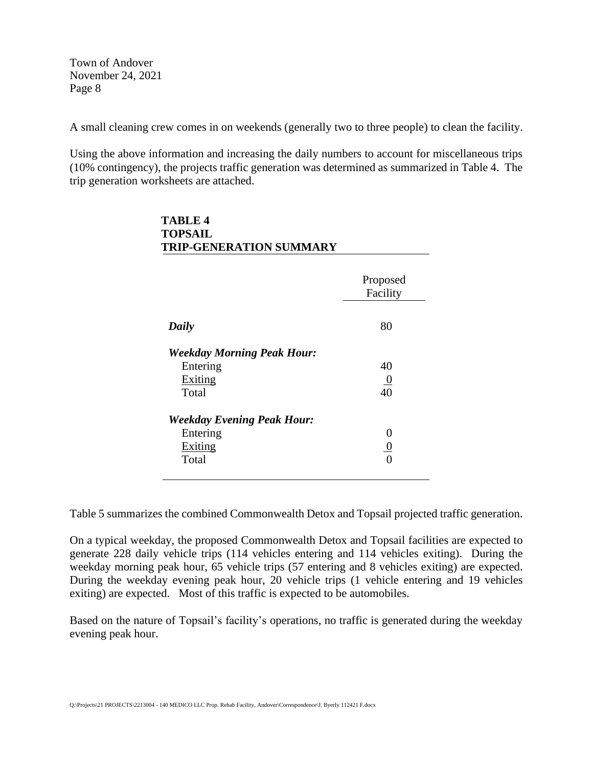$T$ 

A small cleaning crew comes in on weekends (generally two to three people) to clean the facility.

Using the above information and increasing the daily numbers to account for miscellaneous trips (10% contingency), the projects traffic generation was determined as summarized in Table 4. The trip generation worksheets are attached.

| <b>TOPSAIL</b><br><b>TRIP-GENERATION SUMMARY</b> |                      |
|--------------------------------------------------|----------------------|
|                                                  | Proposed<br>Facility |
| Daily                                            | 80                   |
| <b>Weekday Morning Peak Hour:</b>                |                      |
| Entering                                         | 40                   |
| Exiting                                          | $\frac{0}{40}$       |
| Total                                            |                      |
| <b>Weekday Evening Peak Hour:</b>                |                      |
| Entering                                         | 0                    |
| Exiting                                          | $\overline{0}$       |
| Total                                            |                      |

Table 5 summarizes the combined Commonwealth Detox and Topsail projected traffic generation.

On a typical weekday, the proposed Commonwealth Detox and Topsail facilities are expected to generate 228 daily vehicle trips (114 vehicles entering and 114 vehicles exiting). During the weekday morning peak hour, 65 vehicle trips (57 entering and 8 vehicles exiting) are expected. During the weekday evening peak hour, 20 vehicle trips (1 vehicle entering and 19 vehicles exiting) are expected. Most of this traffic is expected to be automobiles.

Based on the nature of Topsail's facility's operations, no traffic is generated during the weekday evening peak hour.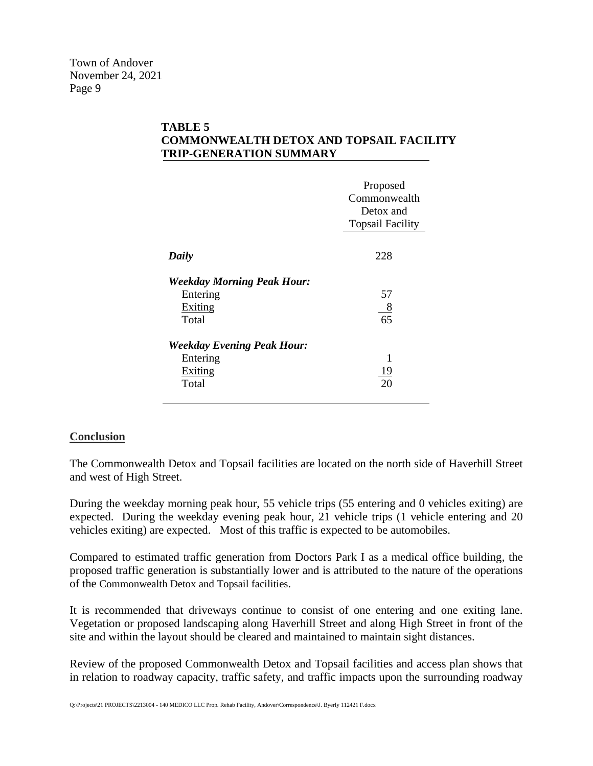#### **TABLE 5 COMMONWEALTH DETOX AND TOPSAIL FACILITY TRIP-GENERATION SUMMARY**

|                                   | Proposed                |
|-----------------------------------|-------------------------|
|                                   | Commonwealth            |
|                                   | Detox and               |
|                                   | <b>Topsail Facility</b> |
|                                   |                         |
| Daily                             | 228                     |
| <b>Weekday Morning Peak Hour:</b> |                         |
| Entering                          | 57                      |
| Exiting                           | $_{8}$                  |
| Total                             | 65                      |
| <b>Weekday Evening Peak Hour:</b> |                         |
| Entering                          | 1                       |
| Exiting                           | <u>19</u>               |
| Total                             | 20                      |
|                                   |                         |

#### **Conclusion**

The Commonwealth Detox and Topsail facilities are located on the north side of Haverhill Street and west of High Street.

During the weekday morning peak hour, 55 vehicle trips (55 entering and 0 vehicles exiting) are expected. During the weekday evening peak hour, 21 vehicle trips (1 vehicle entering and 20 vehicles exiting) are expected. Most of this traffic is expected to be automobiles.

Compared to estimated traffic generation from Doctors Park I as a medical office building, the proposed traffic generation is substantially lower and is attributed to the nature of the operations of the Commonwealth Detox and Topsail facilities.

It is recommended that driveways continue to consist of one entering and one exiting lane. Vegetation or proposed landscaping along Haverhill Street and along High Street in front of the site and within the layout should be cleared and maintained to maintain sight distances.

Review of the proposed Commonwealth Detox and Topsail facilities and access plan shows that in relation to roadway capacity, traffic safety, and traffic impacts upon the surrounding roadway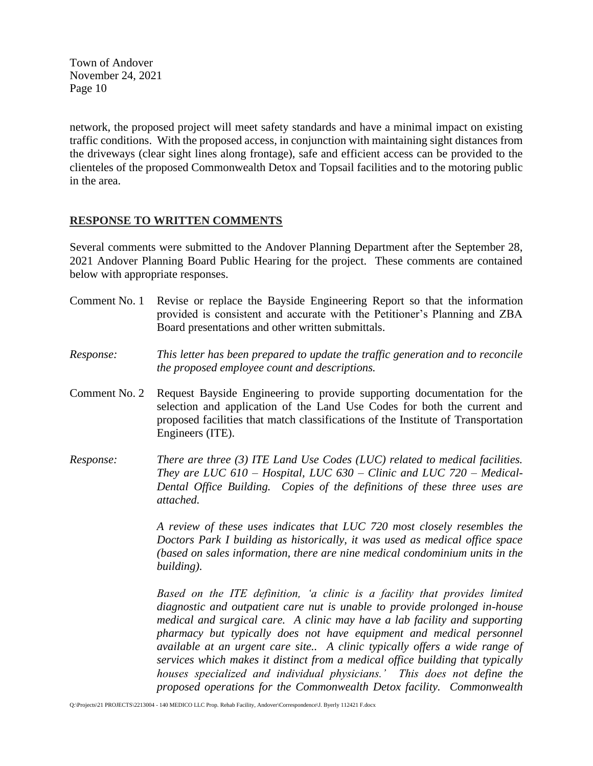network, the proposed project will meet safety standards and have a minimal impact on existing traffic conditions. With the proposed access, in conjunction with maintaining sight distances from the driveways (clear sight lines along frontage), safe and efficient access can be provided to the clienteles of the proposed Commonwealth Detox and Topsail facilities and to the motoring public in the area.

#### **RESPONSE TO WRITTEN COMMENTS**

Several comments were submitted to the Andover Planning Department after the September 28, 2021 Andover Planning Board Public Hearing for the project. These comments are contained below with appropriate responses.

- Comment No. 1 Revise or replace the Bayside Engineering Report so that the information provided is consistent and accurate with the Petitioner's Planning and ZBA Board presentations and other written submittals.
- *Response: This letter has been prepared to update the traffic generation and to reconcile the proposed employee count and descriptions.*
- Comment No. 2 Request Bayside Engineering to provide supporting documentation for the selection and application of the Land Use Codes for both the current and proposed facilities that match classifications of the Institute of Transportation Engineers (ITE).
- *Response: There are three (3) ITE Land Use Codes (LUC) related to medical facilities. They are LUC 610 – Hospital, LUC 630 – Clinic and LUC 720 – Medical-Dental Office Building. Copies of the definitions of these three uses are attached.*

*A review of these uses indicates that LUC 720 most closely resembles the Doctors Park I building as historically, it was used as medical office space (based on sales information, there are nine medical condominium units in the building).*

*Based on the ITE definition, 'a clinic is a facility that provides limited diagnostic and outpatient care nut is unable to provide prolonged in-house medical and surgical care. A clinic may have a lab facility and supporting pharmacy but typically does not have equipment and medical personnel available at an urgent care site.. A clinic typically offers a wide range of services which makes it distinct from a medical office building that typically houses specialized and individual physicians.' This does not define the proposed operations for the Commonwealth Detox facility. Commonwealth*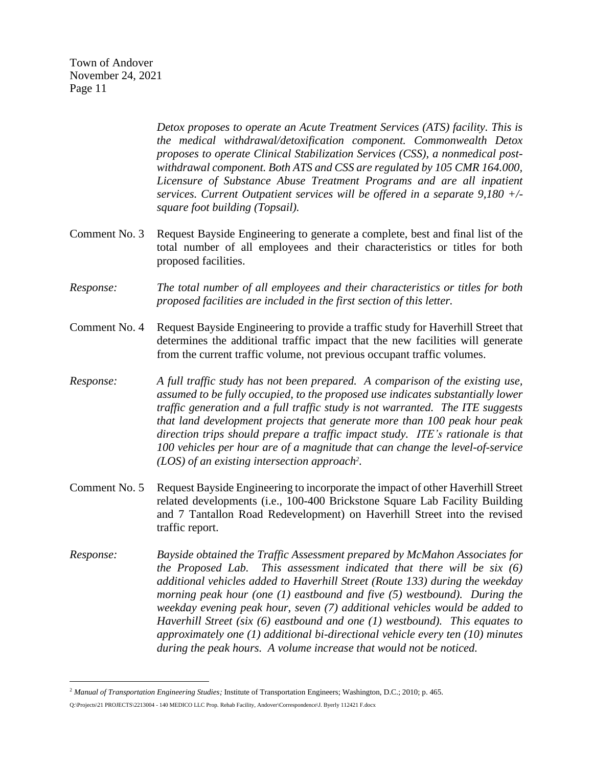> *Detox proposes to operate an Acute Treatment Services (ATS) facility. This is the medical withdrawal/detoxification component. Commonwealth Detox proposes to operate Clinical Stabilization Services (CSS), a nonmedical postwithdrawal component. Both ATS and CSS are regulated by 105 CMR 164.000, Licensure of Substance Abuse Treatment Programs and are all inpatient services. Current Outpatient services will be offered in a separate 9,180 +/ square foot building (Topsail).*

- Comment No. 3 Request Bayside Engineering to generate a complete, best and final list of the total number of all employees and their characteristics or titles for both proposed facilities.
- *Response: The total number of all employees and their characteristics or titles for both proposed facilities are included in the first section of this letter.*
- Comment No. 4 Request Bayside Engineering to provide a traffic study for Haverhill Street that determines the additional traffic impact that the new facilities will generate from the current traffic volume, not previous occupant traffic volumes.
- *Response: A full traffic study has not been prepared. A comparison of the existing use, assumed to be fully occupied, to the proposed use indicates substantially lower traffic generation and a full traffic study is not warranted. The ITE suggests that land development projects that generate more than 100 peak hour peak direction trips should prepare a traffic impact study. ITE's rationale is that 100 vehicles per hour are of a magnitude that can change the level-of-service (LOS) of an existing intersection approach 2 .*
- Comment No. 5 Request Bayside Engineering to incorporate the impact of other Haverhill Street related developments (i.e., 100-400 Brickstone Square Lab Facility Building and 7 Tantallon Road Redevelopment) on Haverhill Street into the revised traffic report.
- *Response: Bayside obtained the Traffic Assessment prepared by McMahon Associates for the Proposed Lab. This assessment indicated that there will be six (6) additional vehicles added to Haverhill Street (Route 133) during the weekday morning peak hour (one (1) eastbound and five (5) westbound). During the weekday evening peak hour, seven (7) additional vehicles would be added to Haverhill Street (six (6) eastbound and one (1) westbound). This equates to approximately one (1) additional bi-directional vehicle every ten (10) minutes during the peak hours. A volume increase that would not be noticed.*

<sup>2</sup> *Manual of Transportation Engineering Studies;* Institute of Transportation Engineers; Washington, D.C.; 2010; p. 465.

Q:\Projects\21 PROJECTS\2213004 - 140 MEDICO LLC Prop. Rehab Facility, Andover\Correspondence\J. Byerly 112421 F.docx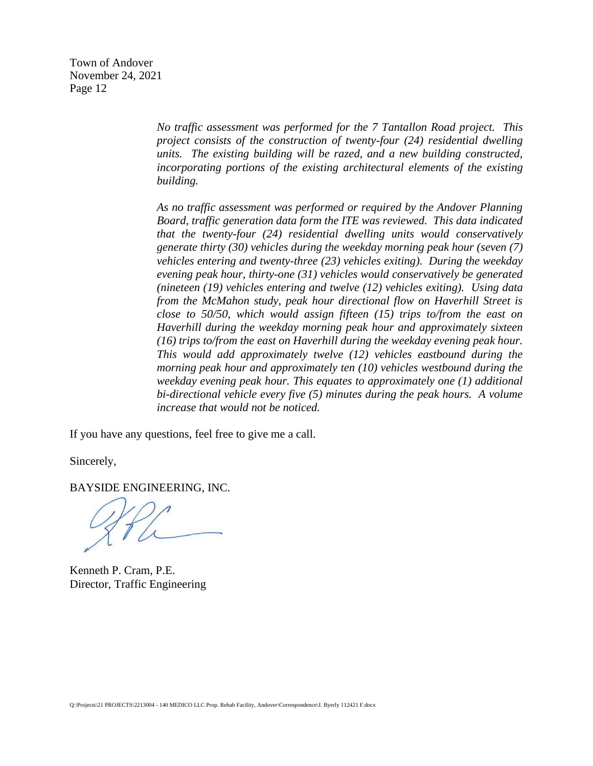> *No traffic assessment was performed for the 7 Tantallon Road project. This project consists of the construction of twenty-four (24) residential dwelling units. The existing building will be razed, and a new building constructed, incorporating portions of the existing architectural elements of the existing building.*

> *As no traffic assessment was performed or required by the Andover Planning Board, traffic generation data form the ITE was reviewed. This data indicated that the twenty-four (24) residential dwelling units would conservatively generate thirty (30) vehicles during the weekday morning peak hour (seven (7) vehicles entering and twenty-three (23) vehicles exiting). During the weekday evening peak hour, thirty-one (31) vehicles would conservatively be generated (nineteen (19) vehicles entering and twelve (12) vehicles exiting). Using data from the McMahon study, peak hour directional flow on Haverhill Street is close to 50/50, which would assign fifteen (15) trips to/from the east on Haverhill during the weekday morning peak hour and approximately sixteen (16) trips to/from the east on Haverhill during the weekday evening peak hour. This would add approximately twelve (12) vehicles eastbound during the morning peak hour and approximately ten (10) vehicles westbound during the weekday evening peak hour. This equates to approximately one (1) additional bi-directional vehicle every five (5) minutes during the peak hours. A volume increase that would not be noticed.*

If you have any questions, feel free to give me a call.

Sincerely,

BAYSIDE ENGINEERING, INC.

Kenneth P. Cram, P.E. Director, Traffic Engineering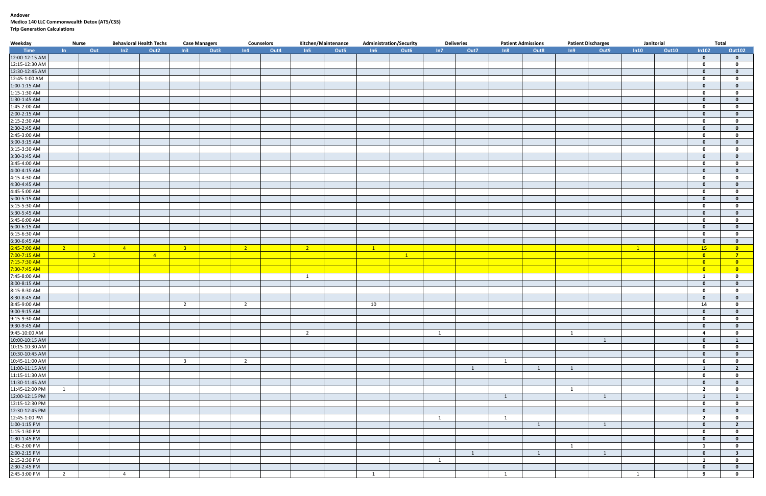#### **Andover Medico 140 LLC Commonwealth Detox (ATS/CSS) Trip Generation Calculations**

| Weekday        | <b>Nurse</b>   |                | <b>Behavioral Health Techs</b> |                  |                         | <b>Case Managers</b> |                | <b>Counselors</b> |                | Kitchen/Maintenance |             | <b>Administration/Security</b> |     | <b>Deliveries</b> |                | <b>Patient Admissions</b> | <b>Patient Discharges</b> |                         | Janitorial |              |                         | <b>Total</b>            |
|----------------|----------------|----------------|--------------------------------|------------------|-------------------------|----------------------|----------------|-------------------|----------------|---------------------|-------------|--------------------------------|-----|-------------------|----------------|---------------------------|---------------------------|-------------------------|------------|--------------|-------------------------|-------------------------|
| Time           | $\ln$          | Out            | ln2                            | Out <sub>2</sub> | In3                     | Out3                 | ln4            | Out4              | In5            | Out <sub>5</sub>    | In6         | Out6                           | In7 | Out7              | In8            | Out8                      | In9                       | Out9                    | ln 10      | <b>Out10</b> | ln102                   | <b>Out102</b>           |
| 12:00-12:15 AM |                |                |                                |                  |                         |                      |                |                   |                |                     |             |                                |     |                   |                |                           |                           |                         |            |              | $\mathbf 0$             | $\mathbf 0$             |
| 12:15-12:30 AM |                |                |                                |                  |                         |                      |                |                   |                |                     |             |                                |     |                   |                |                           |                           |                         |            |              | $\mathbf 0$             | $\mathbf 0$             |
| 12:30-12:45 AM |                |                |                                |                  |                         |                      |                |                   |                |                     |             |                                |     |                   |                |                           |                           |                         |            |              | $\mathbf{0}$            | $\mathbf{0}$            |
| 12:45-1:00 AM  |                |                |                                |                  |                         |                      |                |                   |                |                     |             |                                |     |                   |                |                           |                           |                         |            |              | $\mathbf 0$             | $\mathbf{0}$            |
| 1:00-1:15 AM   |                |                |                                |                  |                         |                      |                |                   |                |                     |             |                                |     |                   |                |                           |                           |                         |            |              | $\mathbf{0}$            | $\mathbf{0}$            |
| 1:15-1:30 AM   |                |                |                                |                  |                         |                      |                |                   |                |                     |             |                                |     |                   |                |                           |                           |                         |            |              | $\mathbf 0$             | $\mathbf 0$             |
| 1:30-1:45 AM   |                |                |                                |                  |                         |                      |                |                   |                |                     |             |                                |     |                   |                |                           |                           |                         |            |              | $\mathbf{0}$            | $\mathbf{0}$            |
| 1:45-2:00 AM   |                |                |                                |                  |                         |                      |                |                   |                |                     |             |                                |     |                   |                |                           |                           |                         |            |              | $\mathbf 0$             | $\mathbf{0}$            |
| 2:00-2:15 AM   |                |                |                                |                  |                         |                      |                |                   |                |                     |             |                                |     |                   |                |                           |                           |                         |            |              | $\mathbf{0}$            | $\mathbf{0}$            |
| 2:15-2:30 AM   |                |                |                                |                  |                         |                      |                |                   |                |                     |             |                                |     |                   |                |                           |                           |                         |            |              | $\mathbf 0$             | $\mathbf 0$             |
| 2:30-2:45 AM   |                |                |                                |                  |                         |                      |                |                   |                |                     |             |                                |     |                   |                |                           |                           |                         |            |              | $\mathbf{0}$            | $\mathbf{0}$            |
| 2:45-3:00 AM   |                |                |                                |                  |                         |                      |                |                   |                |                     |             |                                |     |                   |                |                           |                           |                         |            |              | $\mathbf 0$             | $\mathbf{0}$            |
| 3:00-3:15 AM   |                |                |                                |                  |                         |                      |                |                   |                |                     |             |                                |     |                   |                |                           |                           |                         |            |              | $\mathbf 0$             | $\mathbf{0}$            |
| 3:15-3:30 AM   |                |                |                                |                  |                         |                      |                |                   |                |                     |             |                                |     |                   |                |                           |                           |                         |            |              | $\mathbf 0$             | $\mathbf 0$             |
| 3:30-3:45 AM   |                |                |                                |                  |                         |                      |                |                   |                |                     |             |                                |     |                   |                |                           |                           |                         |            |              | $\mathbf{0}$            | $\mathbf{0}$            |
| 3:45-4:00 AM   |                |                |                                |                  |                         |                      |                |                   |                |                     |             |                                |     |                   |                |                           |                           |                         |            |              | $\mathbf 0$             | $\mathbf 0$             |
| 4:00-4:15 AM   |                |                |                                |                  |                         |                      |                |                   |                |                     |             |                                |     |                   |                |                           |                           |                         |            |              | $\mathbf{0}$            | $\mathbf 0$             |
| 4:15-4:30 AM   |                |                |                                |                  |                         |                      |                |                   |                |                     |             |                                |     |                   |                |                           |                           |                         |            |              | $\mathbf 0$             | $\mathbf 0$             |
| 4:30-4:45 AM   |                |                |                                |                  |                         |                      |                |                   |                |                     |             |                                |     |                   |                |                           |                           |                         |            |              | $\Omega$                | $\mathbf{0}$            |
| 4:45-5:00 AM   |                |                |                                |                  |                         |                      |                |                   |                |                     |             |                                |     |                   |                |                           |                           |                         |            |              | $\mathbf 0$             | $\mathbf{0}$            |
| 5:00-5:15 AM   |                |                |                                |                  |                         |                      |                |                   |                |                     |             |                                |     |                   |                |                           |                           |                         |            |              | $\mathbf{0}$            | $\Omega$                |
| 5:15-5:30 AM   |                |                |                                |                  |                         |                      |                |                   |                |                     |             |                                |     |                   |                |                           |                           |                         |            |              | $\mathbf 0$             | $\mathbf 0$             |
| 5:30-5:45 AM   |                |                |                                |                  |                         |                      |                |                   |                |                     |             |                                |     |                   |                |                           |                           |                         |            |              | $\mathbf{0}$            | $\mathbf{0}$            |
| 5:45-6:00 AM   |                |                |                                |                  |                         |                      |                |                   |                |                     |             |                                |     |                   |                |                           |                           |                         |            |              | $\mathbf 0$             | $\mathbf{0}$            |
| 6:00-6:15 AM   |                |                |                                |                  |                         |                      |                |                   |                |                     |             |                                |     |                   |                |                           |                           |                         |            |              | $\mathbf{0}$            | $\mathbf 0$             |
| 6:15-6:30 AM   |                |                |                                |                  |                         |                      |                |                   |                |                     |             |                                |     |                   |                |                           |                           |                         |            |              | $\mathbf 0$             | $\mathbf{0}$            |
| 6:30-6:45 AM   |                |                |                                |                  |                         |                      |                |                   |                |                     |             |                                |     |                   |                |                           |                           |                         |            |              | $\mathbf{0}$            | $\mathbf{0}$            |
| 6:45-7:00 AM   | $\overline{2}$ |                | $-4$                           |                  | $-3$                    |                      | $\frac{2}{2}$  |                   | $\sim$ 2       |                     | $\boxed{1}$ |                                |     |                   |                |                           |                           |                         | $\sqrt{1}$ |              | 15                      | $\overline{\mathbf{0}}$ |
| 7:00-7:15 AM   |                | $\overline{2}$ |                                | $\overline{4}$   |                         |                      |                |                   |                |                     |             | $\sqrt{1}$                     |     |                   |                |                           |                           |                         |            |              | $\overline{\mathbf{0}}$ | $\overline{7}$          |
| 7:15-7:30 AM   |                |                |                                |                  |                         |                      |                |                   |                |                     |             |                                |     |                   |                |                           |                           |                         |            |              | $\overline{\mathbf{0}}$ | $\overline{\mathbf{0}}$ |
| 7:30-7:45 AM   |                |                |                                |                  |                         |                      |                |                   |                |                     |             |                                |     |                   |                |                           |                           |                         |            |              | $\overline{\mathbf{0}}$ | $\overline{\mathbf{0}}$ |
| 7:45-8:00 AM   |                |                |                                |                  |                         |                      |                |                   | 1              |                     |             |                                |     |                   |                |                           |                           |                         |            |              | $\mathbf{1}$            | $\mathbf 0$             |
| 8:00-8:15 AM   |                |                |                                |                  |                         |                      |                |                   |                |                     |             |                                |     |                   |                |                           |                           |                         |            |              | $\mathbf 0$             | $\mathbf{0}$            |
| 8:15-8:30 AM   |                |                |                                |                  |                         |                      |                |                   |                |                     |             |                                |     |                   |                |                           |                           |                         |            |              | $\mathbf 0$             | $\mathbf{0}$            |
| 8:30-8:45 AM   |                |                |                                |                  |                         |                      |                |                   |                |                     |             |                                |     |                   |                |                           |                           |                         |            |              | $\mathbf{0}$            | $\mathbf{0}$            |
| 8:45-9:00 AM   |                |                |                                |                  | $\overline{2}$          |                      | $\overline{2}$ |                   |                |                     | 10          |                                |     |                   |                |                           |                           |                         |            |              | 14                      | $\mathbf 0$             |
| 9:00-9:15 AM   |                |                |                                |                  |                         |                      |                |                   |                |                     |             |                                |     |                   |                |                           |                           |                         |            |              | $\mathbf{0}$            | $\mathbf{0}$            |
| 9:15-9:30 AM   |                |                |                                |                  |                         |                      |                |                   |                |                     |             |                                |     |                   |                |                           |                           |                         |            |              | $\mathbf 0$             | $\mathbf{0}$            |
| 9:30-9:45 AM   |                |                |                                |                  |                         |                      |                |                   |                |                     |             |                                |     |                   |                |                           |                           |                         |            |              | $\mathbf{0}$            | $\mathbf 0$             |
| 9:45-10:00 AM  |                |                |                                |                  |                         |                      |                |                   | $\overline{2}$ |                     |             |                                | 1   |                   |                |                           | 1                         |                         |            |              | $\overline{a}$          | $\mathbf 0$             |
| 10:00-10:15 AM |                |                |                                |                  |                         |                      |                |                   |                |                     |             |                                |     |                   |                |                           |                           | $\overline{1}$          |            |              | $\mathbf 0$             | 1                       |
| 10:15-10:30 AM |                |                |                                |                  |                         |                      |                |                   |                |                     |             |                                |     |                   |                |                           |                           |                         |            |              | $\mathbf 0$             | $\mathbf 0$             |
| 10:30-10:45 AM |                |                |                                |                  |                         |                      |                |                   |                |                     |             |                                |     |                   |                |                           |                           |                         |            |              | $\mathbf 0$             | $\mathbf 0$             |
| 10:45-11:00 AM |                |                |                                |                  | $\overline{\mathbf{3}}$ |                      | $\overline{2}$ |                   |                |                     |             |                                |     |                   | $\overline{1}$ |                           |                           |                         |            |              | - 6                     | $\mathbf 0$             |
| 11:00-11:15 AM |                |                |                                |                  |                         |                      |                |                   |                |                     |             |                                |     | 1                 |                | 1                         | 1                         |                         |            |              | $\mathbf{1}$            | $\overline{2}$          |
| 11:15-11:30 AM |                |                |                                |                  |                         |                      |                |                   |                |                     |             |                                |     |                   |                |                           |                           |                         |            |              | $\mathbf 0$             | $\mathbf 0$             |
| 11:30-11:45 AM |                |                |                                |                  |                         |                      |                |                   |                |                     |             |                                |     |                   |                |                           |                           |                         |            |              | $\mathbf{0}$            | $\mathbf 0$             |
| 11:45-12:00 PM | 1              |                |                                |                  |                         |                      |                |                   |                |                     |             |                                |     |                   |                |                           | $\mathbf{1}$              |                         |            |              | $\overline{2}$          | $\mathbf 0$             |
| 12:00-12:15 PM |                |                |                                |                  |                         |                      |                |                   |                |                     |             |                                |     |                   | $\overline{1}$ |                           |                           | $\overline{\mathbf{1}}$ |            |              | $\mathbf{1}$            | 1                       |
| 12:15-12:30 PM |                |                |                                |                  |                         |                      |                |                   |                |                     |             |                                |     |                   |                |                           |                           |                         |            |              | $\mathbf 0$             | $\mathbf 0$             |
| 12:30-12:45 PM |                |                |                                |                  |                         |                      |                |                   |                |                     |             |                                |     |                   |                |                           |                           |                         |            |              | $\mathbf{0}$            | $\mathbf 0$             |
| 12:45-1:00 PM  |                |                |                                |                  |                         |                      |                |                   |                |                     |             |                                | 1   |                   | $\overline{1}$ |                           |                           |                         |            |              | $\overline{\mathbf{2}}$ | $\mathbf 0$             |
| 1:00-1:15 PM   |                |                |                                |                  |                         |                      |                |                   |                |                     |             |                                |     |                   |                | 1                         |                           | 1                       |            |              | $\mathbf{0}$            | $\overline{2}$          |
| 1:15-1:30 PM   |                |                |                                |                  |                         |                      |                |                   |                |                     |             |                                |     |                   |                |                           |                           |                         |            |              | $\mathbf 0$             | $\mathbf 0$             |
| 1:30-1:45 PM   |                |                |                                |                  |                         |                      |                |                   |                |                     |             |                                |     |                   |                |                           |                           |                         |            |              | $\mathbf{0}$            | $\mathbf{0}$            |
| 1:45-2:00 PM   |                |                |                                |                  |                         |                      |                |                   |                |                     |             |                                |     |                   |                |                           | 1                         |                         |            |              | $\overline{\mathbf{1}}$ | $\mathbf 0$             |
| 2:00-2:15 PM   |                |                |                                |                  |                         |                      |                |                   |                |                     |             |                                |     | $\overline{1}$    |                | $\overline{1}$            |                           | $\overline{\mathbf{1}}$ |            |              | $\mathbf{0}$            | $\overline{\mathbf{3}}$ |
| 2:15-2:30 PM   |                |                |                                |                  |                         |                      |                |                   |                |                     |             |                                | 1   |                   |                |                           |                           |                         |            |              | $\mathbf{1}$            | $\mathbf 0$             |
| 2:30-2:45 PM   |                |                |                                |                  |                         |                      |                |                   |                |                     |             |                                |     |                   |                |                           |                           |                         |            |              | $\mathbf 0$             | $\mathbf{0}$            |
| 2:45-3:00 PM   | $\overline{2}$ |                | $\overline{4}$                 |                  |                         |                      |                |                   |                |                     | 1           |                                |     |                   | $\mathbf{1}$   |                           |                           |                         | 1          |              | 9                       | $\mathbf{0}$            |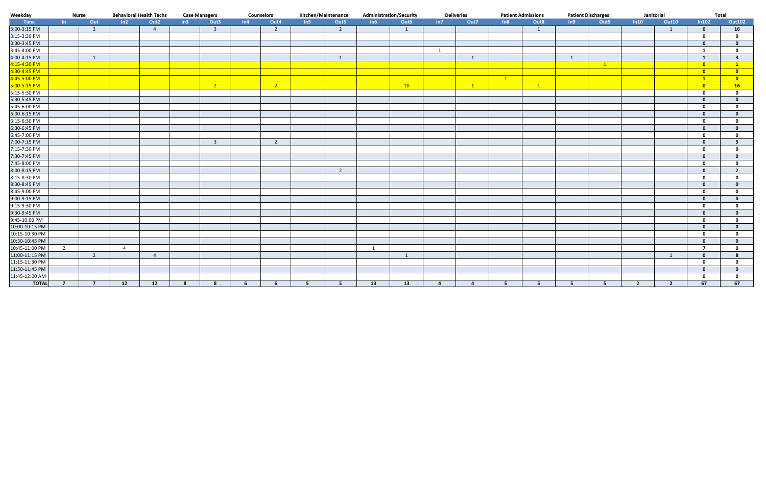| Weekday        |                | <b>Behavioral Health Techs</b><br><b>Nurse</b> |                |                  | <b>Case Managers</b> |                         | <b>Counselors</b> |                | Kitchen/Maintenance |                | <b>Administration/Security</b> |      | <b>Deliveries</b> | <b>Patient Admissions</b> |            |                | <b>Patient Discharges</b> | Janitorial   |                |                | Total                   |                         |
|----------------|----------------|------------------------------------------------|----------------|------------------|----------------------|-------------------------|-------------------|----------------|---------------------|----------------|--------------------------------|------|-------------------|---------------------------|------------|----------------|---------------------------|--------------|----------------|----------------|-------------------------|-------------------------|
| Time           | $\ln$          | Out                                            | ln2            | Out <sub>2</sub> | ln3                  | Out3                    | ln4               | Out4           | In5                 | Out5           | In6                            | Out6 | In7               | Out7                      | ln8        | Out8           | In9                       | Out9         | ln 10          | <b>Out10</b>   | In 102                  | <b>Out102</b>           |
| 3:00-3:15 PM   |                | $\overline{2}$                                 |                | $\overline{4}$   |                      | $\overline{\mathbf{3}}$ |                   | $\overline{2}$ |                     | $\overline{2}$ |                                | 1    |                   |                           |            | 1              |                           |              |                | 1              | $\mathbf{0}$            | 16                      |
| 3:15-3:30 PM   |                |                                                |                |                  |                      |                         |                   |                |                     |                |                                |      |                   |                           |            |                |                           |              |                |                | $\mathbf 0$             | $\mathbf{0}$            |
| 3:30-3:45 PM   |                |                                                |                |                  |                      |                         |                   |                |                     |                |                                |      |                   |                           |            |                |                           |              |                |                | $\mathbf{0}$            | $\mathbf{0}$            |
| 3:45-4:00 PM   |                |                                                |                |                  |                      |                         |                   |                |                     |                |                                |      | 1                 |                           |            |                |                           |              |                |                | $\mathbf{1}$            | $\mathbf 0$             |
| 4:00-4:15 PM   |                | $\mathbf{1}$                                   |                |                  |                      |                         |                   |                |                     | $\mathbf{1}$   |                                |      |                   | $\overline{1}$            |            |                | $\mathbf{1}$              |              |                |                | $\mathbf{1}$            | $\overline{\mathbf{3}}$ |
| 4:15-4:30 PM   |                |                                                |                |                  |                      |                         |                   |                |                     |                |                                |      |                   |                           |            |                |                           | $\mathbf{1}$ |                |                | $\overline{\mathbf{0}}$ | $\mathbf{1}$            |
| 4:30-4:45 PM   |                |                                                |                |                  |                      |                         |                   |                |                     |                |                                |      |                   |                           |            |                |                           |              |                |                | $\bullet$               | $\overline{\mathbf{0}}$ |
| 4:45-5:00 PM   |                |                                                |                |                  |                      |                         |                   |                |                     |                |                                |      |                   |                           | $\sqrt{1}$ |                |                           |              |                |                | $\mathbf{1}$            | $\overline{\mathbf{0}}$ |
| 5:00-5:15 PM   |                |                                                |                |                  |                      | $\overline{2}$          |                   | $\overline{2}$ |                     |                |                                | 10   |                   | $\mathbf{1}$              |            | $\overline{1}$ |                           |              |                |                | $\overline{0}$          | 16                      |
| 5:15-5:30 PM   |                |                                                |                |                  |                      |                         |                   |                |                     |                |                                |      |                   |                           |            |                |                           |              |                |                | $\mathbf 0$             | $\mathbf 0$             |
| 5:30-5:45 PM   |                |                                                |                |                  |                      |                         |                   |                |                     |                |                                |      |                   |                           |            |                |                           |              |                |                | $\Omega$                | $\Omega$                |
| 5:45-6:00 PM   |                |                                                |                |                  |                      |                         |                   |                |                     |                |                                |      |                   |                           |            |                |                           |              |                |                | $\mathbf{0}$            | $\Omega$                |
| 6:00-6:15 PM   |                |                                                |                |                  |                      |                         |                   |                |                     |                |                                |      |                   |                           |            |                |                           |              |                |                | $\mathbf{0}$            | $\Omega$                |
| 6:15-6:30 PM   |                |                                                |                |                  |                      |                         |                   |                |                     |                |                                |      |                   |                           |            |                |                           |              |                |                | $\mathbf{0}$            | $\Omega$                |
| 6:30-6:45 PM   |                |                                                |                |                  |                      |                         |                   |                |                     |                |                                |      |                   |                           |            |                |                           |              |                |                | $\mathbf{0}$            | $\mathbf{0}$            |
| 6:45-7:00 PM   |                |                                                |                |                  |                      |                         |                   |                |                     |                |                                |      |                   |                           |            |                |                           |              |                |                | $\mathbf{0}$            | $\mathbf{0}$            |
| 7:00-7:15 PM   |                |                                                |                |                  |                      | $\overline{\mathbf{3}}$ |                   | $\overline{2}$ |                     |                |                                |      |                   |                           |            |                |                           |              |                |                | $\Omega$                | -5                      |
| 7:15-7:30 PM   |                |                                                |                |                  |                      |                         |                   |                |                     |                |                                |      |                   |                           |            |                |                           |              |                |                | $\mathbf{0}$            | $\mathbf{0}$            |
| 7:30-7:45 PM   |                |                                                |                |                  |                      |                         |                   |                |                     |                |                                |      |                   |                           |            |                |                           |              |                |                | $\mathbf{0}$            | $\mathbf{0}$            |
| 7:45-8:00 PM   |                |                                                |                |                  |                      |                         |                   |                |                     |                |                                |      |                   |                           |            |                |                           |              |                |                | $\Omega$                | $\Omega$                |
| 8:00-8:15 PM   |                |                                                |                |                  |                      |                         |                   |                |                     | $\overline{2}$ |                                |      |                   |                           |            |                |                           |              |                |                | $\mathbf{0}$            | $\overline{2}$          |
| 8:15-8:30 PM   |                |                                                |                |                  |                      |                         |                   |                |                     |                |                                |      |                   |                           |            |                |                           |              |                |                | $\mathbf 0$             | $\mathbf{0}$            |
| 8:30-8:45 PM   |                |                                                |                |                  |                      |                         |                   |                |                     |                |                                |      |                   |                           |            |                |                           |              |                |                | $\mathbf{0}$            | $\Omega$                |
| 8:45-9:00 PM   |                |                                                |                |                  |                      |                         |                   |                |                     |                |                                |      |                   |                           |            |                |                           |              |                |                | $\mathbf 0$             | $\Omega$                |
| 9:00-9:15 PM   |                |                                                |                |                  |                      |                         |                   |                |                     |                |                                |      |                   |                           |            |                |                           |              |                |                | $\mathbf{0}$            | $\mathbf{0}$            |
| 9:15-9:30 PM   |                |                                                |                |                  |                      |                         |                   |                |                     |                |                                |      |                   |                           |            |                |                           |              |                |                | $\mathbf{0}$            | $\mathbf{0}$            |
| 9:30-9:45 PM   |                |                                                |                |                  |                      |                         |                   |                |                     |                |                                |      |                   |                           |            |                |                           |              |                |                | $\mathbf{0}$            | $\mathbf{0}$            |
| 9:45-10:00 PM  |                |                                                |                |                  |                      |                         |                   |                |                     |                |                                |      |                   |                           |            |                |                           |              |                |                | $\mathbf 0$             | $\Omega$                |
| 10:00-10:15 PM |                |                                                |                |                  |                      |                         |                   |                |                     |                |                                |      |                   |                           |            |                |                           |              |                |                | $\mathbf{0}$            | $\mathbf{0}$            |
| 10:15-10:30 PM |                |                                                |                |                  |                      |                         |                   |                |                     |                |                                |      |                   |                           |            |                |                           |              |                |                | $\mathbf 0$             | $\mathbf{0}$            |
| 10:30-10:45 PM |                |                                                |                |                  |                      |                         |                   |                |                     |                |                                |      |                   |                           |            |                |                           |              |                |                | $\mathbf{0}$            | $\mathbf{0}$            |
| 10:45-11:00 PM | $\overline{2}$ |                                                | $\overline{4}$ |                  |                      |                         |                   |                |                     |                | 1                              |      |                   |                           |            |                |                           |              |                |                | $\overline{7}$          | $\mathbf{0}$            |
| 11:00-11:15 PM |                | $\overline{2}$                                 |                | $\overline{4}$   |                      |                         |                   |                |                     |                |                                | 1    |                   |                           |            |                |                           |              |                | 1              | $\mathbf{0}$            | 8                       |
| 11:15-11:30 PM |                |                                                |                |                  |                      |                         |                   |                |                     |                |                                |      |                   |                           |            |                |                           |              |                |                | $\mathbf{0}$            | $\mathbf{0}$            |
| 11:30-11:45 PM |                |                                                |                |                  |                      |                         |                   |                |                     |                |                                |      |                   |                           |            |                |                           |              |                |                | $\mathbf{0}$            | $\Omega$                |
| 11:45-12:00 AM |                |                                                |                |                  |                      |                         |                   |                |                     |                |                                |      |                   |                           |            |                |                           |              |                |                | $\mathbf{0}$            | $\Omega$                |
| <b>TOTAL</b>   | $\overline{7}$ | -7                                             | 12             | 12               |                      | -8                      |                   | 6              | -5                  | 5              | 13                             | 13   | 4                 | 4                         |            | -5             | -5                        |              | $\overline{2}$ | $\overline{2}$ | 67                      | 67                      |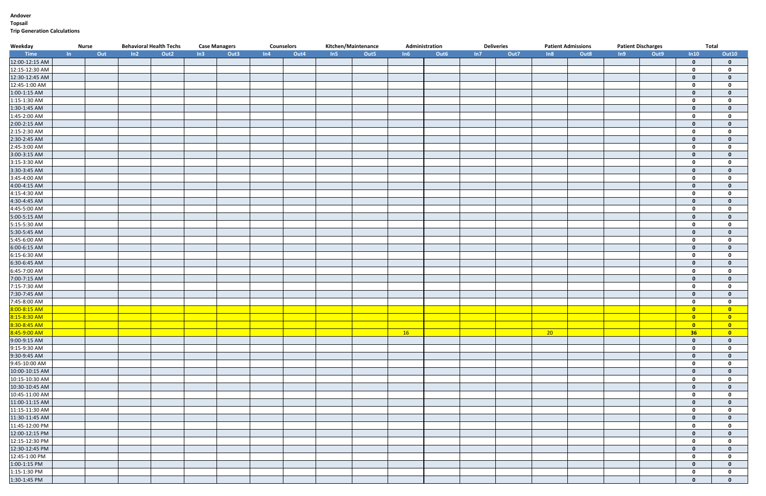#### **Andover Topsail Trip Generation Calculations**

| Weekday             | <b>Nurse</b> |     | <b>Behavioral Health Techs</b> |                  |                  | <b>Case Managers</b> |     | <b>Counselors</b> |     | Kitchen/Maintenance |     | Administration   |     | <b>Deliveries</b> | <b>Patient Admissions</b> |      | <b>Patient Discharges</b> |      | <b>Total</b>            |                         |
|---------------------|--------------|-----|--------------------------------|------------------|------------------|----------------------|-----|-------------------|-----|---------------------|-----|------------------|-----|-------------------|---------------------------|------|---------------------------|------|-------------------------|-------------------------|
| <b>Example Time</b> | In           | Out | In2                            | Out <sub>2</sub> | In3 <sub>1</sub> | Out3                 | ln4 | Out4              | In5 | Out5                | In6 | Out <sub>6</sub> | In7 | Out7              | ln8                       | Out8 | In9                       | Out9 | ln10                    | <b>Out10</b>            |
| 12:00-12:15 AM      |              |     |                                |                  |                  |                      |     |                   |     |                     |     |                  |     |                   |                           |      |                           |      | $\mathbf 0$             | $\mathbf{0}$            |
| 12:15-12:30 AM      |              |     |                                |                  |                  |                      |     |                   |     |                     |     |                  |     |                   |                           |      |                           |      | $\mathbf{0}$            | $\mathbf 0$             |
| 12:30-12:45 AM      |              |     |                                |                  |                  |                      |     |                   |     |                     |     |                  |     |                   |                           |      |                           |      | $\mathbf{0}$            | $\mathbf{0}$            |
| 12:45-1:00 AM       |              |     |                                |                  |                  |                      |     |                   |     |                     |     |                  |     |                   |                           |      |                           |      | $\mathbf 0$             | $\mathbf 0$             |
| 1:00-1:15 AM        |              |     |                                |                  |                  |                      |     |                   |     |                     |     |                  |     |                   |                           |      |                           |      | $\mathbf 0$             | $\mathbf{0}$            |
| 1:15-1:30 AM        |              |     |                                |                  |                  |                      |     |                   |     |                     |     |                  |     |                   |                           |      |                           |      | $\mathbf 0$             | $\mathbf 0$             |
| 1:30-1:45 AM        |              |     |                                |                  |                  |                      |     |                   |     |                     |     |                  |     |                   |                           |      |                           |      | $\mathbf 0$             | $\mathbf{0}$            |
| 1:45-2:00 AM        |              |     |                                |                  |                  |                      |     |                   |     |                     |     |                  |     |                   |                           |      |                           |      | $\mathbf 0$             | $\mathbf{0}$            |
| 2:00-2:15 AM        |              |     |                                |                  |                  |                      |     |                   |     |                     |     |                  |     |                   |                           |      |                           |      | $\mathbf{0}$            | $\mathbf{0}$            |
| $2:15-2:30$ AM      |              |     |                                |                  |                  |                      |     |                   |     |                     |     |                  |     |                   |                           |      |                           |      | $\mathbf 0$             | $\mathbf 0$             |
| 2:30-2:45 AM        |              |     |                                |                  |                  |                      |     |                   |     |                     |     |                  |     |                   |                           |      |                           |      | $\mathbf 0$             | $\mathbf{0}$            |
| 2:45-3:00 AM        |              |     |                                |                  |                  |                      |     |                   |     |                     |     |                  |     |                   |                           |      |                           |      | $\mathbf 0$             | $\mathbf 0$             |
| 3:00-3:15 AM        |              |     |                                |                  |                  |                      |     |                   |     |                     |     |                  |     |                   |                           |      |                           |      | $\mathbf{0}$            | $\mathbf{0}$            |
| 3:15-3:30 AM        |              |     |                                |                  |                  |                      |     |                   |     |                     |     |                  |     |                   |                           |      |                           |      | $\mathbf{0}$            | $\mathbf{0}$            |
| 3:30-3:45 AM        |              |     |                                |                  |                  |                      |     |                   |     |                     |     |                  |     |                   |                           |      |                           |      | $\mathbf{0}$            | $\bf{0}$                |
| 3:45-4:00 AM        |              |     |                                |                  |                  |                      |     |                   |     |                     |     |                  |     |                   |                           |      |                           |      | $\mathbf{0}$            | $\mathbf 0$             |
| 4:00-4:15 AM        |              |     |                                |                  |                  |                      |     |                   |     |                     |     |                  |     |                   |                           |      |                           |      | $\mathbf{0}$            | $\mathbf{0}$            |
| 4:15-4:30 AM        |              |     |                                |                  |                  |                      |     |                   |     |                     |     |                  |     |                   |                           |      |                           |      | $\mathbf{0}$            | $\mathbf 0$             |
| 4:30-4:45 AM        |              |     |                                |                  |                  |                      |     |                   |     |                     |     |                  |     |                   |                           |      |                           |      | $\mathbf{0}$            | $\mathbf{0}$            |
| 4:45-5:00 AM        |              |     |                                |                  |                  |                      |     |                   |     |                     |     |                  |     |                   |                           |      |                           |      | $\mathbf{0}$            | $\mathbf 0$             |
| 5:00-5:15 AM        |              |     |                                |                  |                  |                      |     |                   |     |                     |     |                  |     |                   |                           |      |                           |      | $\mathbf{0}$            | $\mathbf{0}$            |
| 5:15-5:30 AM        |              |     |                                |                  |                  |                      |     |                   |     |                     |     |                  |     |                   |                           |      |                           |      | $\mathbf 0$             | $\mathbf 0$             |
| 5:30-5:45 AM        |              |     |                                |                  |                  |                      |     |                   |     |                     |     |                  |     |                   |                           |      |                           |      | $\mathbf{0}$            | $\mathbf{0}$            |
| 5:45-6:00 AM        |              |     |                                |                  |                  |                      |     |                   |     |                     |     |                  |     |                   |                           |      |                           |      | $\mathbf 0$             | $\mathbf{0}$            |
| 6:00-6:15 AM        |              |     |                                |                  |                  |                      |     |                   |     |                     |     |                  |     |                   |                           |      |                           |      | $\mathbf{0}$            | $\mathbf{0}$            |
| 6:15-6:30 AM        |              |     |                                |                  |                  |                      |     |                   |     |                     |     |                  |     |                   |                           |      |                           |      | $\mathbf 0$             | $\mathbf 0$             |
| 6:30-6:45 AM        |              |     |                                |                  |                  |                      |     |                   |     |                     |     |                  |     |                   |                           |      |                           |      | $\Omega$                | $\mathbf{0}$            |
| 6:45-7:00 AM        |              |     |                                |                  |                  |                      |     |                   |     |                     |     |                  |     |                   |                           |      |                           |      | $\mathbf{0}$            | $\mathbf 0$             |
| 7:00-7:15 AM        |              |     |                                |                  |                  |                      |     |                   |     |                     |     |                  |     |                   |                           |      |                           |      | $\mathbf{0}$            | $\mathbf{0}$            |
| 7:15-7:30 AM        |              |     |                                |                  |                  |                      |     |                   |     |                     |     |                  |     |                   |                           |      |                           |      | $\mathbf{0}$            | $\mathbf 0$             |
| 7:30-7:45 AM        |              |     |                                |                  |                  |                      |     |                   |     |                     |     |                  |     |                   |                           |      |                           |      | $\mathbf{0}$            | $\mathbf{0}$            |
| 7:45-8:00 AM        |              |     |                                |                  |                  |                      |     |                   |     |                     |     |                  |     |                   |                           |      |                           |      | $\mathbf 0$             | $\mathbf 0$             |
| 8:00-8:15 AM        |              |     |                                |                  |                  |                      |     |                   |     |                     |     |                  |     |                   |                           |      |                           |      | $\overline{\mathbf{0}}$ | $\overline{\mathbf{0}}$ |
| 8:15-8:30 AM        |              |     |                                |                  |                  |                      |     |                   |     |                     |     |                  |     |                   |                           |      |                           |      | $\bullet$               | $\bullet$               |
| 8:30-8:45 AM        |              |     |                                |                  |                  |                      |     |                   |     |                     |     |                  |     |                   |                           |      |                           |      | $\overline{\mathbf{0}}$ | <b>COLOR</b>            |
| 8:45-9:00 AM        |              |     |                                |                  |                  |                      |     |                   |     |                     | 16  |                  |     |                   | 20                        |      |                           |      | 36                      | $\overline{\mathbf{0}}$ |
| 9:00-9:15 AM        |              |     |                                |                  |                  |                      |     |                   |     |                     |     |                  |     |                   |                           |      |                           |      | $\mathbf{0}$            | $\mathbf{0}$            |
| 9:15-9:30 AM        |              |     |                                |                  |                  |                      |     |                   |     |                     |     |                  |     |                   |                           |      |                           |      | $\mathbf 0$             | $\mathbf 0$             |
| 9:30-9:45 AM        |              |     |                                |                  |                  |                      |     |                   |     |                     |     |                  |     |                   |                           |      |                           |      | $\mathbf{0}$            | $\mathbf{0}$            |
| 9:45-10:00 AM       |              |     |                                |                  |                  |                      |     |                   |     |                     |     |                  |     |                   |                           |      |                           |      | $\mathbf{0}$            | $\mathbf 0$             |
| 10:00-10:15 AM      |              |     |                                |                  |                  |                      |     |                   |     |                     |     |                  |     |                   |                           |      |                           |      | $\mathbf{0}$            | $\mathbf{0}$            |
| 10:15-10:30 AM      |              |     |                                |                  |                  |                      |     |                   |     |                     |     |                  |     |                   |                           |      |                           |      | $\mathbf 0$             | $\mathbf 0$             |
| 10:30-10:45 AM      |              |     |                                |                  |                  |                      |     |                   |     |                     |     |                  |     |                   |                           |      |                           |      | $\mathbf 0$             | $\mathbf{0}$            |
| 10:45-11:00 AM      |              |     |                                |                  |                  |                      |     |                   |     |                     |     |                  |     |                   |                           |      |                           |      | $\mathbf{0}$            | $\mathbf 0$             |
| 11:00-11:15 AM      |              |     |                                |                  |                  |                      |     |                   |     |                     |     |                  |     |                   |                           |      |                           |      | $\mathbf{0}$            | $\mathbf{0}$            |
| 11:15-11:30 AM      |              |     |                                |                  |                  |                      |     |                   |     |                     |     |                  |     |                   |                           |      |                           |      | $\mathbf 0$             | $\mathbf 0$             |
| 11:30-11:45 AM      |              |     |                                |                  |                  |                      |     |                   |     |                     |     |                  |     |                   |                           |      |                           |      | $\mathbf{0}$            | $\mathbf{0}$            |
| 11:45-12:00 PM      |              |     |                                |                  |                  |                      |     |                   |     |                     |     |                  |     |                   |                           |      |                           |      | $\mathbf 0$             | $\mathbf 0$             |
| 12:00-12:15 PM      |              |     |                                |                  |                  |                      |     |                   |     |                     |     |                  |     |                   |                           |      |                           |      | $\mathbf{0}$            | $\mathbf{0}$            |
| 12:15-12:30 PM      |              |     |                                |                  |                  |                      |     |                   |     |                     |     |                  |     |                   |                           |      |                           |      | $\mathbf 0$             | $\mathbf 0$             |
| 12:30-12:45 PM      |              |     |                                |                  |                  |                      |     |                   |     |                     |     |                  |     |                   |                           |      |                           |      | $\mathbf{0}$            | $\mathbf{0}$            |
| 12:45-1:00 PM       |              |     |                                |                  |                  |                      |     |                   |     |                     |     |                  |     |                   |                           |      |                           |      | $\mathbf 0$             | $\mathbf 0$             |
| 1:00-1:15 PM        |              |     |                                |                  |                  |                      |     |                   |     |                     |     |                  |     |                   |                           |      |                           |      | $\mathbf{0}$            | $\mathbf{0}$            |
| 1:15-1:30 PM        |              |     |                                |                  |                  |                      |     |                   |     |                     |     |                  |     |                   |                           |      |                           |      | $\mathbf{0}$            | $\mathbf 0$             |
| 1:30-1:45 PM        |              |     |                                |                  |                  |                      |     |                   |     |                     |     |                  |     |                   |                           |      |                           |      | $\mathbf{0}$            | $\mathbf{0}$            |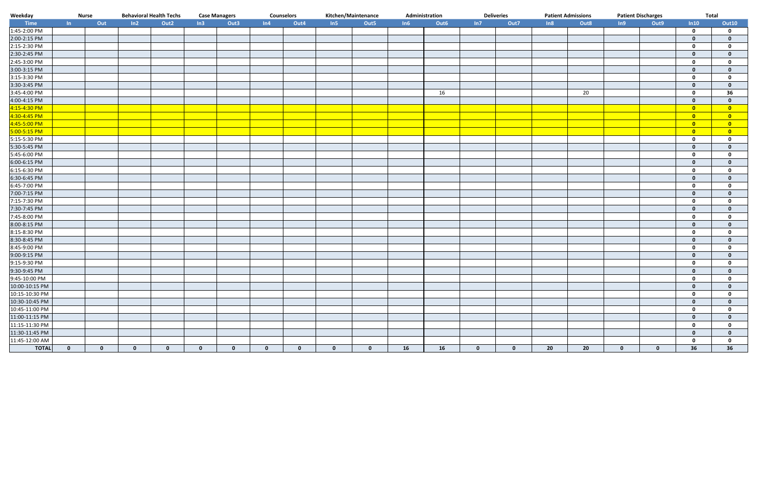| Weekday                          | <b>Nurse</b> |              | <b>Behavioral Health Techs</b> |                  |             | <b>Case Managers</b> |              | <b>Counselors</b> |              | Kitchen/Maintenance |     | Administration |              | <b>Deliveries</b> | <b>Patient Admissions</b> |      | <b>Patient Discharges</b> |              | Total                   |                         |
|----------------------------------|--------------|--------------|--------------------------------|------------------|-------------|----------------------|--------------|-------------------|--------------|---------------------|-----|----------------|--------------|-------------------|---------------------------|------|---------------------------|--------------|-------------------------|-------------------------|
| Time                             | $\ln$        | Out          | ln2                            | Out <sub>2</sub> | In3         | Out3                 | ln4          | Out4              | In5          | Out5                | In6 | Out6           | In7          | Out7              | In8                       | Out8 | In9                       | Out9         | In10                    | <b>Out10</b>            |
| 1:45-2:00 PM                     |              |              |                                |                  |             |                      |              |                   |              |                     |     |                |              |                   |                           |      |                           |              | $\mathbf 0$             | $\mathbf 0$             |
| 2:00-2:15 PM                     |              |              |                                |                  |             |                      |              |                   |              |                     |     |                |              |                   |                           |      |                           |              | $\mathbf{0}$            | $\mathbf{0}$            |
| 2:15-2:30 PM                     |              |              |                                |                  |             |                      |              |                   |              |                     |     |                |              |                   |                           |      |                           |              | $\mathbf 0$             | $\mathbf{0}$            |
| 2:30-2:45 PM                     |              |              |                                |                  |             |                      |              |                   |              |                     |     |                |              |                   |                           |      |                           |              | $\mathbf{0}$            | $\mathbf{0}$            |
| 2:45-3:00 PM                     |              |              |                                |                  |             |                      |              |                   |              |                     |     |                |              |                   |                           |      |                           |              | $\mathbf 0$             | $\mathbf{0}$            |
| 3:00-3:15 PM                     |              |              |                                |                  |             |                      |              |                   |              |                     |     |                |              |                   |                           |      |                           |              | $\mathbf 0$             | $\Omega$                |
| $3:15-3:30$ PM                   |              |              |                                |                  |             |                      |              |                   |              |                     |     |                |              |                   |                           |      |                           |              | $\mathbf 0$             | $\Omega$                |
| 3:30-3:45 PM                     |              |              |                                |                  |             |                      |              |                   |              |                     |     |                |              |                   |                           |      |                           |              | $\mathbf{0}$            | $\mathbf{0}$            |
| 3:45-4:00 PM                     |              |              |                                |                  |             |                      |              |                   |              |                     |     | 16             |              |                   |                           | 20   |                           |              | $\mathbf 0$             | 36                      |
| 4:00-4:15 PM                     |              |              |                                |                  |             |                      |              |                   |              |                     |     |                |              |                   |                           |      |                           |              | $\mathbf{0}$            | $\mathbf{0}$            |
| 4:15-4:30 PM                     |              |              |                                |                  |             |                      |              |                   |              |                     |     |                |              |                   |                           |      |                           |              | $\overline{\mathbf{0}}$ | $\overline{\mathbf{0}}$ |
| 4:30-4:45 PM                     |              |              |                                |                  |             |                      |              |                   |              |                     |     |                |              |                   |                           |      |                           |              | $\overline{\mathbf{0}}$ | $\bullet$               |
| 4:45-5:00 PM                     |              |              |                                |                  |             |                      |              |                   |              |                     |     |                |              |                   |                           |      |                           |              | $\overline{\mathbf{0}}$ | $\overline{\mathbf{0}}$ |
| 5:00-5:15 PM                     |              |              |                                |                  |             |                      |              |                   |              |                     |     |                |              |                   |                           |      |                           |              | $\overline{\mathbf{0}}$ | $\bullet$               |
| 5:15-5:30 PM                     |              |              |                                |                  |             |                      |              |                   |              |                     |     |                |              |                   |                           |      |                           |              | $\mathbf 0$             | 0                       |
| 5:30-5:45 PM                     |              |              |                                |                  |             |                      |              |                   |              |                     |     |                |              |                   |                           |      |                           |              | $\mathbf 0$             | $\bf{0}$                |
| 5:45-6:00 PM                     |              |              |                                |                  |             |                      |              |                   |              |                     |     |                |              |                   |                           |      |                           |              | $\mathbf 0$             | $\mathbf{0}$            |
| 6:00-6:15 PM                     |              |              |                                |                  |             |                      |              |                   |              |                     |     |                |              |                   |                           |      |                           |              | $\mathbf{0}$            | $\mathbf{0}$            |
| 6:15-6:30 PM                     |              |              |                                |                  |             |                      |              |                   |              |                     |     |                |              |                   |                           |      |                           |              | $\mathbf 0$             | 0                       |
| 6:30-6:45 PM                     |              |              |                                |                  |             |                      |              |                   |              |                     |     |                |              |                   |                           |      |                           |              | $\mathbf{0}$            | $\mathbf{0}$            |
| 6:45-7:00 PM                     |              |              |                                |                  |             |                      |              |                   |              |                     |     |                |              |                   |                           |      |                           |              | $\mathbf 0$             | 0                       |
| 7:00-7:15 PM                     |              |              |                                |                  |             |                      |              |                   |              |                     |     |                |              |                   |                           |      |                           |              | $\mathbf{0}$            | $\mathbf{0}$            |
| 7:15-7:30 PM                     |              |              |                                |                  |             |                      |              |                   |              |                     |     |                |              |                   |                           |      |                           |              | $\mathbf 0$             | $\mathbf{0}$            |
| 7:30-7:45 PM                     |              |              |                                |                  |             |                      |              |                   |              |                     |     |                |              |                   |                           |      |                           |              | $\mathbf{0}$            | 0                       |
| 7:45-8:00 PM                     |              |              |                                |                  |             |                      |              |                   |              |                     |     |                |              |                   |                           |      |                           |              | $\mathbf 0$             | $\Omega$                |
| 8:00-8:15 PM                     |              |              |                                |                  |             |                      |              |                   |              |                     |     |                |              |                   |                           |      |                           |              | $\mathbf{0}$            | $\Omega$                |
| 8:15-8:30 PM                     |              |              |                                |                  |             |                      |              |                   |              |                     |     |                |              |                   |                           |      |                           |              | $\mathbf 0$             | $\Omega$                |
| 8:30-8:45 PM                     |              |              |                                |                  |             |                      |              |                   |              |                     |     |                |              |                   |                           |      |                           |              | $\mathbf{0}$            | $\mathbf{0}$            |
| 8:45-9:00 PM                     |              |              |                                |                  |             |                      |              |                   |              |                     |     |                |              |                   |                           |      |                           |              | $\mathbf 0$             | $\mathbf{0}$            |
| 9:00-9:15 PM                     |              |              |                                |                  |             |                      |              |                   |              |                     |     |                |              |                   |                           |      |                           |              | $\mathbf 0$             | $\mathbf{0}$            |
| 9:15-9:30 PM                     |              |              |                                |                  |             |                      |              |                   |              |                     |     |                |              |                   |                           |      |                           |              | $\mathbf 0$             | 0                       |
| 9:30-9:45 PM                     |              |              |                                |                  |             |                      |              |                   |              |                     |     |                |              |                   |                           |      |                           |              | $\mathbf{0}$            | $\mathbf{0}$            |
| 9:45-10:00 PM                    |              |              |                                |                  |             |                      |              |                   |              |                     |     |                |              |                   |                           |      |                           |              | $\mathbf 0$             | $\mathbf{0}$            |
|                                  |              |              |                                |                  |             |                      |              |                   |              |                     |     |                |              |                   |                           |      |                           |              | $\mathbf{0}$            | $\mathbf 0$             |
| 10:00-10:15 PM<br>10:15-10:30 PM |              |              |                                |                  |             |                      |              |                   |              |                     |     |                |              |                   |                           |      |                           |              | $\mathbf 0$             | $\overline{\mathbf{0}}$ |
| 10:30-10:45 PM                   |              |              |                                |                  |             |                      |              |                   |              |                     |     |                |              |                   |                           |      |                           |              | $\mathbf{0}$            | $\mathbf{0}$            |
| 10:45-11:00 PM                   |              |              |                                |                  |             |                      |              |                   |              |                     |     |                |              |                   |                           |      |                           |              | $\mathbf 0$             | 0                       |
|                                  |              |              |                                |                  |             |                      |              |                   |              |                     |     |                |              |                   |                           |      |                           |              | $\mathbf 0$             | $\mathbf{0}$            |
| 11:00-11:15 PM<br>11:15-11:30 PM |              |              |                                |                  |             |                      |              |                   |              |                     |     |                |              |                   |                           |      |                           |              | $\mathbf 0$             | 0                       |
| 11:30-11:45 PM                   |              |              |                                |                  |             |                      |              |                   |              |                     |     |                |              |                   |                           |      |                           |              | $\mathbf{0}$            | $\mathbf{0}$            |
| 11:45-12:00 AM                   |              |              |                                |                  |             |                      |              |                   |              |                     |     |                |              |                   |                           |      |                           |              | $\mathbf 0$             | 0                       |
| <b>TOTAL</b>                     | $\mathbf{0}$ | $\mathbf{0}$ | $\mathbf{0}$                   | $\mathbf{0}$     | $\mathbf 0$ | $\mathbf{0}$         | $\mathbf{0}$ | $\mathbf 0$       | $\mathbf{0}$ | $\mathbf{0}$        | 16  | 16             | $\mathbf{0}$ | $\mathbf{0}$      | 20                        | 20   | $\mathbf{0}$              | $\mathbf{0}$ | 36                      | 36                      |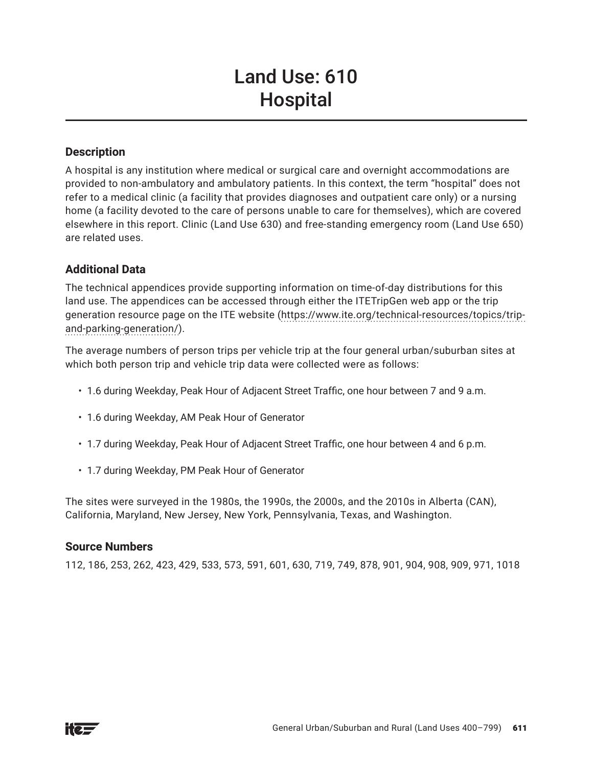# Land Use: 610 **Hospital**

# **Description**

A hospital is any institution where medical or surgical care and overnight accommodations are provided to non-ambulatory and ambulatory patients. In this context, the term "hospital" does not refer to a medical clinic (a facility that provides diagnoses and outpatient care only) or a nursing home (a facility devoted to the care of persons unable to care for themselves), which are covered elsewhere in this report. Clinic (Land Use 630) and free-standing emergency room (Land Use 650) are related uses.

# **Additional Data**

The technical appendices provide supporting information on time-of-day distributions for this land use. The appendices can be accessed through either the ITETripGen web app or the trip generation resource page on the ITE website (https://www.ite.org/technical-resources/topics/tripand-parking-generation/).

The average numbers of person trips per vehicle trip at the four general urban/suburban sites at which both person trip and vehicle trip data were collected were as follows:

- 1.6 during Weekday, Peak Hour of Adjacent Street Traffic, one hour between 7 and 9 a.m.
- 1.6 during Weekday, AM Peak Hour of Generator
- 1.7 during Weekday, Peak Hour of Adjacent Street Traffic, one hour between 4 and 6 p.m.
- 1.7 during Weekday, PM Peak Hour of Generator

The sites were surveyed in the 1980s, the 1990s, the 2000s, and the 2010s in Alberta (CAN), California, Maryland, New Jersey, New York, Pennsylvania, Texas, and Washington.

# **Source Numbers**

112, 186, 253, 262, 423, 429, 533, 573, 591, 601, 630, 719, 749, 878, 901, 904, 908, 909, 971, 1018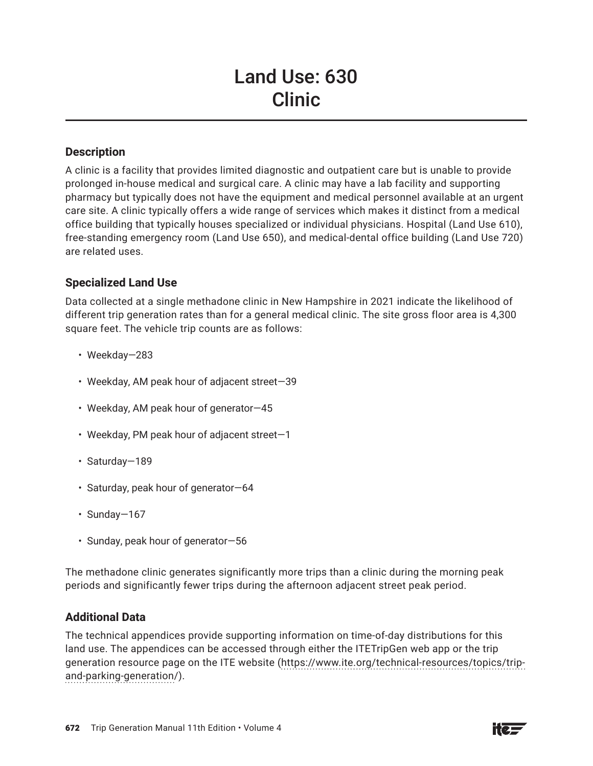# Land Use: 630 Clinic

# **Description**

A clinic is a facility that provides limited diagnostic and outpatient care but is unable to provide prolonged in-house medical and surgical care. A clinic may have a lab facility and supporting pharmacy but typically does not have the equipment and medical personnel available at an urgent care site. A clinic typically offers a wide range of services which makes it distinct from a medical office building that typically houses specialized or individual physicians. Hospital (Land Use 610), free-standing emergency room (Land Use 650), and medical-dental office building (Land Use 720) are related uses.

# **Specialized Land Use**

Data collected at a single methadone clinic in New Hampshire in 2021 indicate the likelihood of different trip generation rates than for a general medical clinic. The site gross floor area is 4,300 square feet. The vehicle trip counts are as follows:

- Weekday—283
- Weekday, AM peak hour of adjacent street—39
- Weekday, AM peak hour of generator—45
- Weekday, PM peak hour of adjacent street—1
- Saturday—189
- Saturday, peak hour of generator—64
- Sunday—167
- Sunday, peak hour of generator—56

The methadone clinic generates significantly more trips than a clinic during the morning peak periods and significantly fewer trips during the afternoon adjacent street peak period.

#### **Additional Data**

The technical appendices provide supporting information on time-of-day distributions for this land use. The appendices can be accessed through either the ITETripGen web app or the trip generation resource page on the ITE website (https://www.ite.org/technical-resources/topics/tripand-parking-generation/).

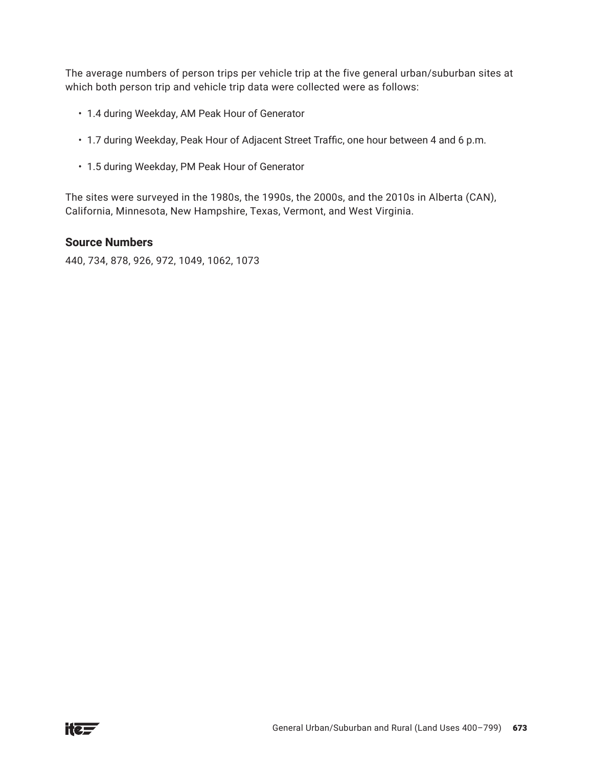The average numbers of person trips per vehicle trip at the five general urban/suburban sites at which both person trip and vehicle trip data were collected were as follows:

- 1.4 during Weekday, AM Peak Hour of Generator
- 1.7 during Weekday, Peak Hour of Adjacent Street Traffic, one hour between 4 and 6 p.m.
- 1.5 during Weekday, PM Peak Hour of Generator

The sites were surveyed in the 1980s, the 1990s, the 2000s, and the 2010s in Alberta (CAN), California, Minnesota, New Hampshire, Texas, Vermont, and West Virginia.

#### **Source Numbers**

440, 734, 878, 926, 972, 1049, 1062, 1073